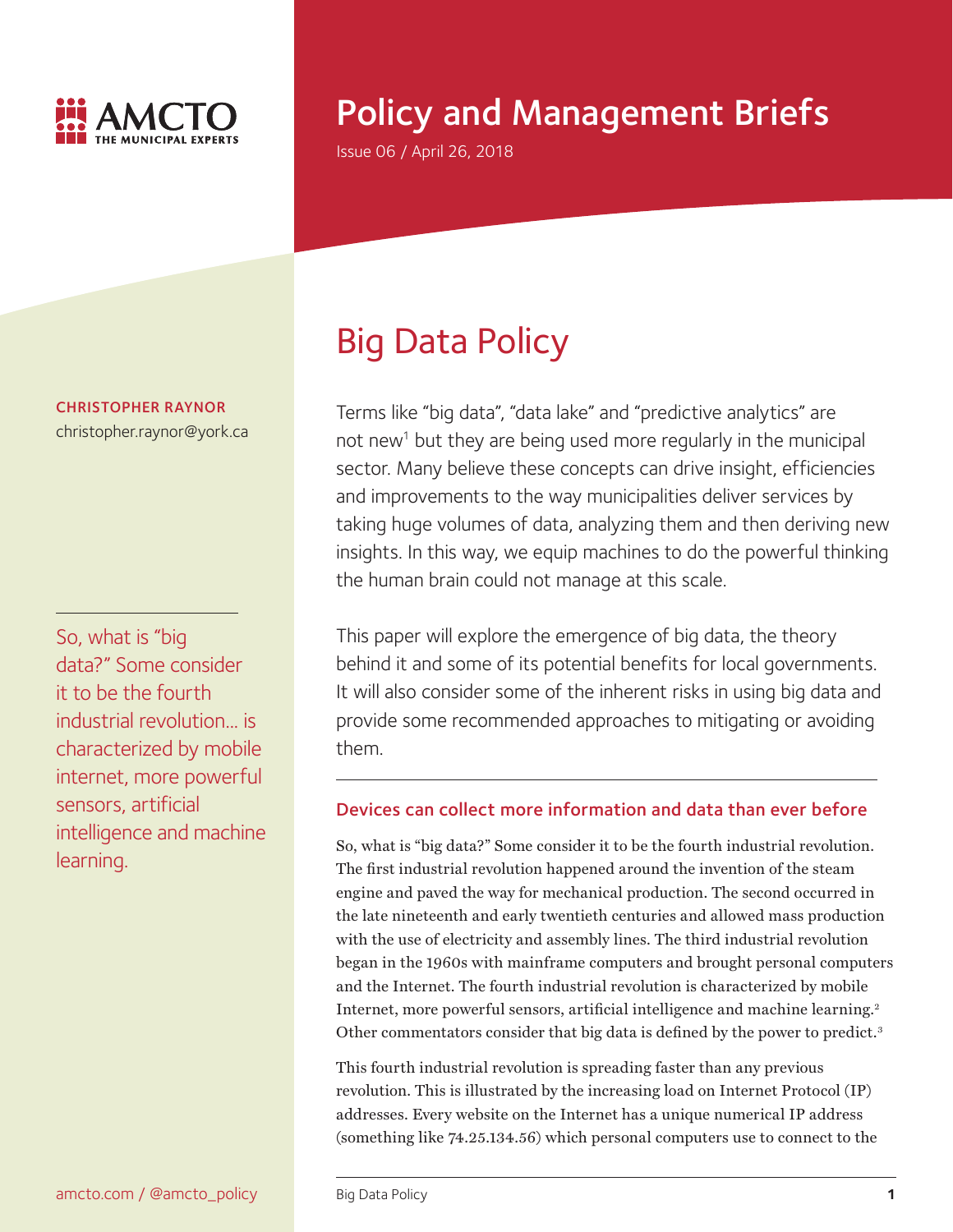

# Policy and Management Briefs

Issue 06 / April 26, 2018

CHRISTOPHER RAYNOR christopher.raynor@york.ca

So, what is "big data?" Some consider it to be the fourth industrial revolution... is characterized by mobile internet, more powerful sensors, artificial intelligence and machine learning.

# Big Data Policy

Terms like "big data", "data lake" and "predictive analytics" are not new<sup>1</sup> but they are being used more regularly in the municipal sector. Many believe these concepts can drive insight, efficiencies and improvements to the way municipalities deliver services by taking huge volumes of data, analyzing them and then deriving new insights. In this way, we equip machines to do the powerful thinking the human brain could not manage at this scale.

This paper will explore the emergence of big data, the theory behind it and some of its potential benefits for local governments. It will also consider some of the inherent risks in using big data and provide some recommended approaches to mitigating or avoiding them.

# Devices can collect more information and data than ever before

So, what is "big data?" Some consider it to be the fourth industrial revolution. The first industrial revolution happened around the invention of the steam engine and paved the way for mechanical production. The second occurred in the late nineteenth and early twentieth centuries and allowed mass production with the use of electricity and assembly lines. The third industrial revolution began in the 1960s with mainframe computers and brought personal computers and the Internet. The fourth industrial revolution is characterized by mobile Internet, more powerful sensors, artificial intelligence and machine learning.<sup>2</sup> Other commentators consider that big data is defined by the power to predict.<sup>3</sup>

This fourth industrial revolution is spreading faster than any previous revolution. This is illustrated by the increasing load on Internet Protocol (IP) addresses. Every website on the Internet has a unique numerical IP address (something like 74.25.134.56) which personal computers use to connect to the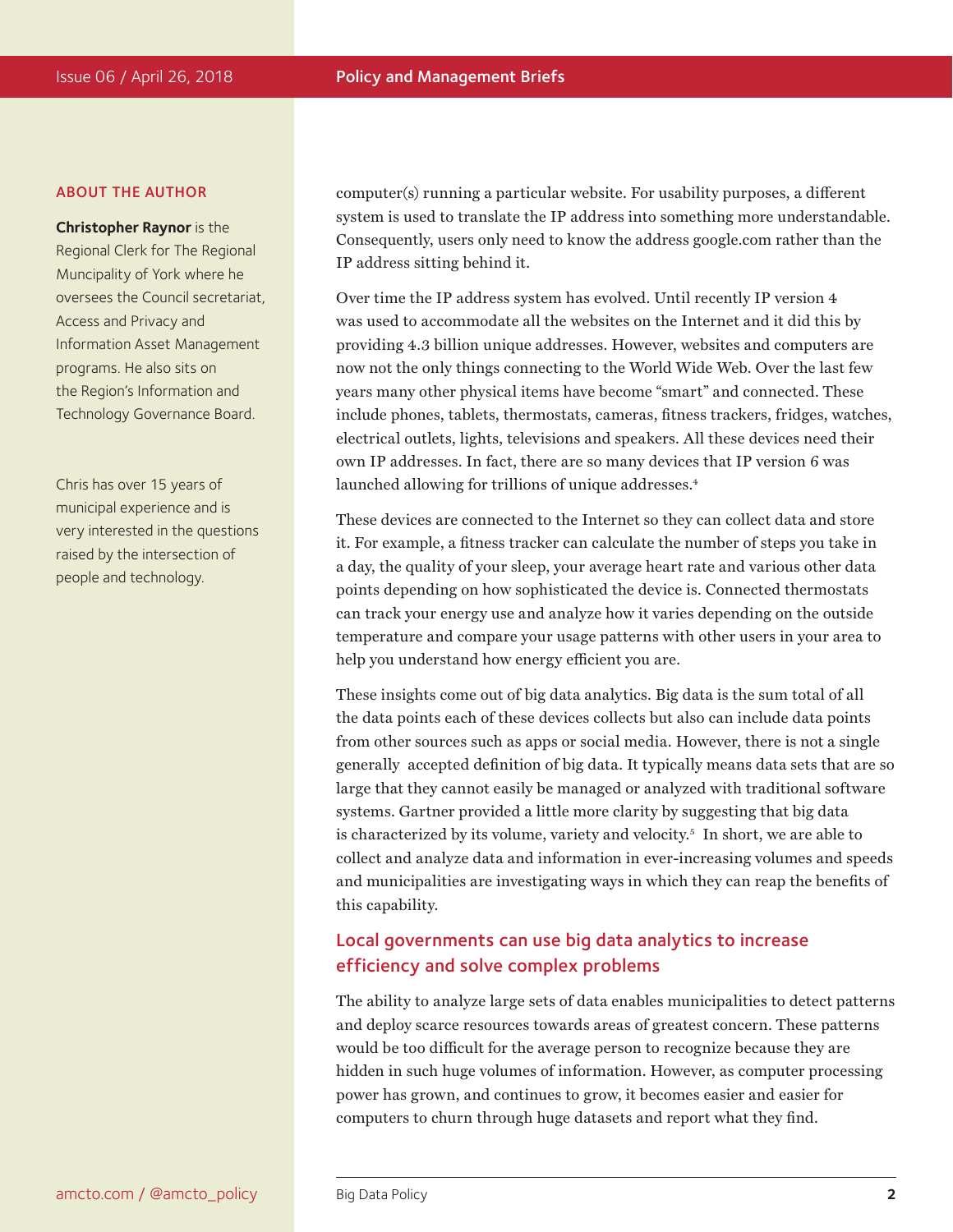#### Issue 06 / April 26, 2018 **Policy and Management Briefs**

#### ABOUT THE AUTHOR

**Christopher Raynor** is the Regional Clerk for The Regional Muncipality of York where he oversees the Council secretariat, Access and Privacy and Information Asset Management programs. He also sits on the Region's Information and Technology Governance Board.

Chris has over 15 years of municipal experience and is very interested in the questions raised by the intersection of people and technology.

computer(s) running a particular website. For usability purposes, a different system is used to translate the IP address into something more understandable. Consequently, users only need to know the address google.com rather than the IP address sitting behind it.

Over time the IP address system has evolved. Until recently IP version 4 was used to accommodate all the websites on the Internet and it did this by providing 4.3 billion unique addresses. However, websites and computers are now not the only things connecting to the World Wide Web. Over the last few years many other physical items have become "smart" and connected. These include phones, tablets, thermostats, cameras, fitness trackers, fridges, watches, electrical outlets, lights, televisions and speakers. All these devices need their own IP addresses. In fact, there are so many devices that IP version 6 was launched allowing for trillions of unique addresses.<sup>4</sup>

These devices are connected to the Internet so they can collect data and store it. For example, a fitness tracker can calculate the number of steps you take in a day, the quality of your sleep, your average heart rate and various other data points depending on how sophisticated the device is. Connected thermostats can track your energy use and analyze how it varies depending on the outside temperature and compare your usage patterns with other users in your area to help you understand how energy efficient you are.

These insights come out of big data analytics. Big data is the sum total of all the data points each of these devices collects but also can include data points from other sources such as apps or social media. However, there is not a single generally accepted definition of big data. It typically means data sets that are so large that they cannot easily be managed or analyzed with traditional software systems. Gartner provided a little more clarity by suggesting that big data is characterized by its volume, variety and velocity.5 In short, we are able to collect and analyze data and information in ever-increasing volumes and speeds and municipalities are investigating ways in which they can reap the benefits of this capability.

# Local governments can use big data analytics to increase efficiency and solve complex problems

The ability to analyze large sets of data enables municipalities to detect patterns and deploy scarce resources towards areas of greatest concern. These patterns would be too difficult for the average person to recognize because they are hidden in such huge volumes of information. However, as computer processing power has grown, and continues to grow, it becomes easier and easier for computers to churn through huge datasets and report what they find.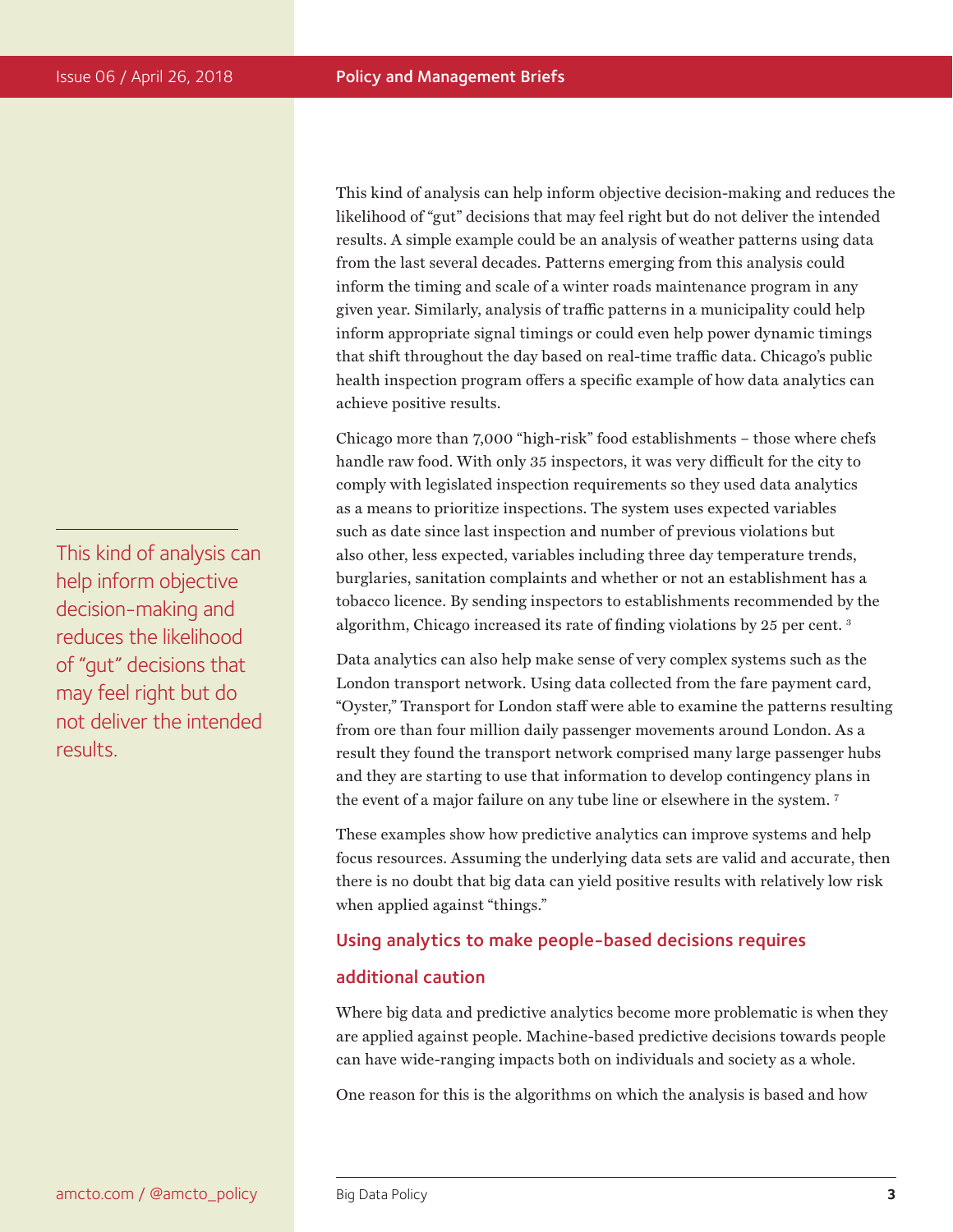This kind of analysis can help inform objective decision-making and reduces the likelihood of "gut" decisions that may feel right but do not deliver the intended results. A simple example could be an analysis of weather patterns using data from the last several decades. Patterns emerging from this analysis could inform the timing and scale of a winter roads maintenance program in any given year. Similarly, analysis of traffic patterns in a municipality could help inform appropriate signal timings or could even help power dynamic timings that shift throughout the day based on real-time traffic data. Chicago's public health inspection program offers a specific example of how data analytics can achieve positive results.

Chicago more than 7,000 "high-risk" food establishments – those where chefs handle raw food. With only 35 inspectors, it was very difficult for the city to comply with legislated inspection requirements so they used data analytics as a means to prioritize inspections. The system uses expected variables such as date since last inspection and number of previous violations but also other, less expected, variables including three day temperature trends, burglaries, sanitation complaints and whether or not an establishment has a tobacco licence. By sending inspectors to establishments recommended by the algorithm, Chicago increased its rate of finding violations by 25 per cent. 3

Data analytics can also help make sense of very complex systems such as the London transport network. Using data collected from the fare payment card, "Oyster," Transport for London staff were able to examine the patterns resulting from ore than four million daily passenger movements around London. As a result they found the transport network comprised many large passenger hubs and they are starting to use that information to develop contingency plans in the event of a major failure on any tube line or elsewhere in the system. 7

These examples show how predictive analytics can improve systems and help focus resources. Assuming the underlying data sets are valid and accurate, then there is no doubt that big data can yield positive results with relatively low risk when applied against "things."

### Using analytics to make people-based decisions requires

#### additional caution

Where big data and predictive analytics become more problematic is when they are applied against people. Machine-based predictive decisions towards people can have wide-ranging impacts both on individuals and society as a whole.

One reason for this is the algorithms on which the analysis is based and how

This kind of analysis can help inform objective decision-making and reduces the likelihood of "gut" decisions that may feel right but do not deliver the intended results.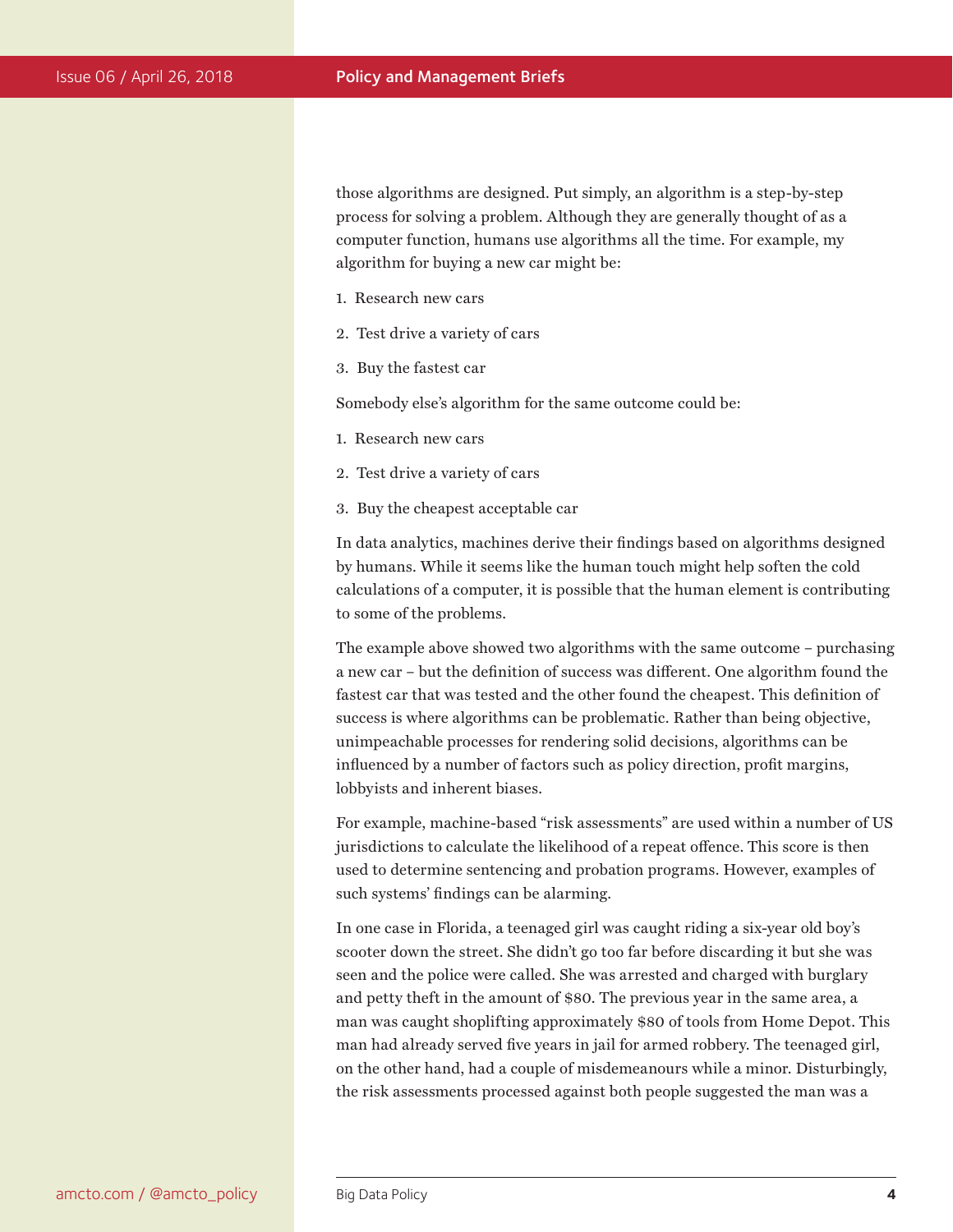those algorithms are designed. Put simply, an algorithm is a step-by-step process for solving a problem. Although they are generally thought of as a computer function, humans use algorithms all the time. For example, my algorithm for buying a new car might be:

- 1. Research new cars
- 2. Test drive a variety of cars
- 3. Buy the fastest car

Somebody else's algorithm for the same outcome could be:

- 1. Research new cars
- 2. Test drive a variety of cars
- 3. Buy the cheapest acceptable car

In data analytics, machines derive their findings based on algorithms designed by humans. While it seems like the human touch might help soften the cold calculations of a computer, it is possible that the human element is contributing to some of the problems.

The example above showed two algorithms with the same outcome – purchasing a new car – but the definition of success was different. One algorithm found the fastest car that was tested and the other found the cheapest. This definition of success is where algorithms can be problematic. Rather than being objective, unimpeachable processes for rendering solid decisions, algorithms can be influenced by a number of factors such as policy direction, profit margins, lobbyists and inherent biases.

For example, machine-based "risk assessments" are used within a number of US jurisdictions to calculate the likelihood of a repeat offence. This score is then used to determine sentencing and probation programs. However, examples of such systems' findings can be alarming.

In one case in Florida, a teenaged girl was caught riding a six-year old boy's scooter down the street. She didn't go too far before discarding it but she was seen and the police were called. She was arrested and charged with burglary and petty theft in the amount of \$80. The previous year in the same area, a man was caught shoplifting approximately \$80 of tools from Home Depot. This man had already served five years in jail for armed robbery. The teenaged girl, on the other hand, had a couple of misdemeanours while a minor. Disturbingly, the risk assessments processed against both people suggested the man was a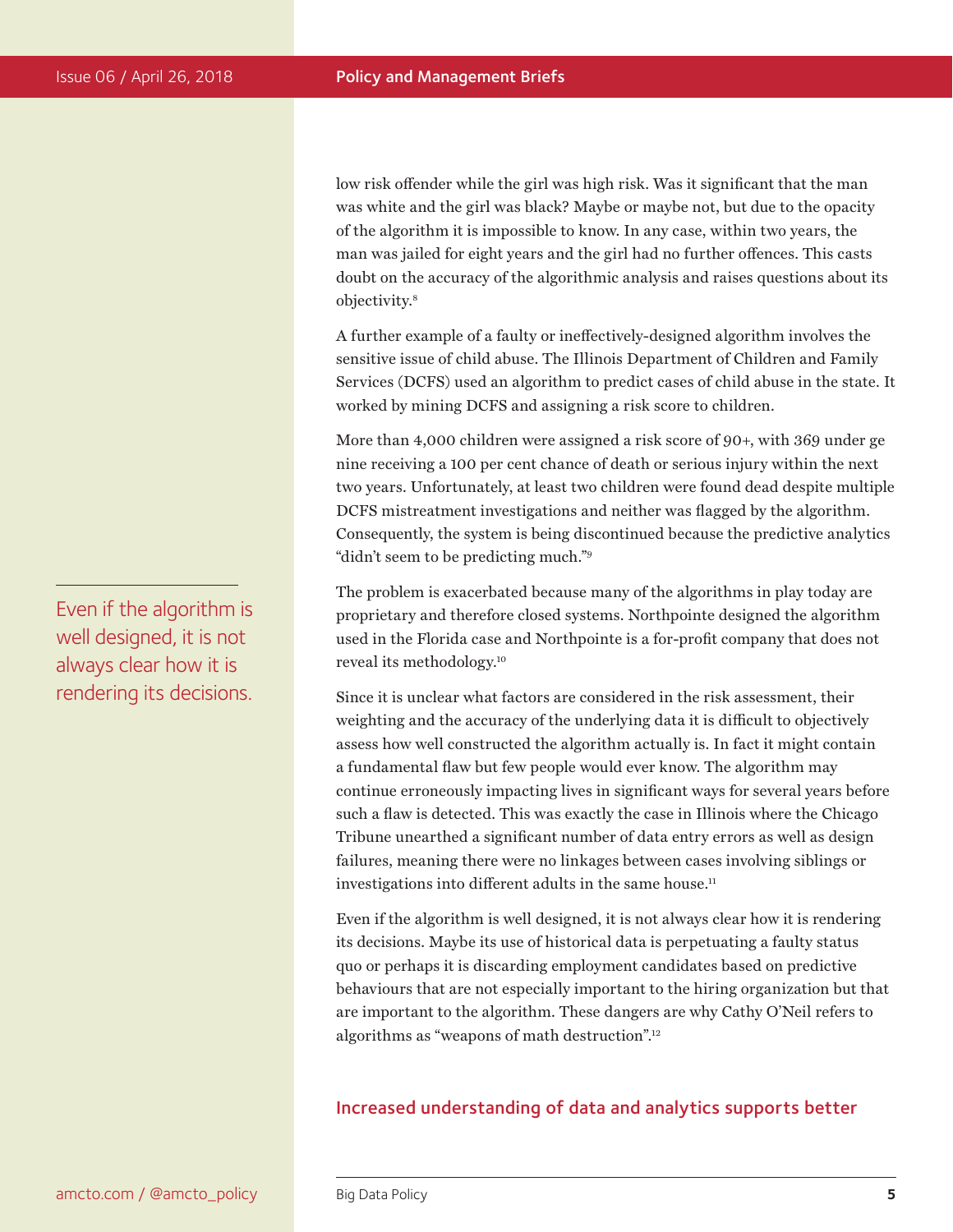low risk offender while the girl was high risk. Was it significant that the man was white and the girl was black? Maybe or maybe not, but due to the opacity of the algorithm it is impossible to know. In any case, within two years, the man was jailed for eight years and the girl had no further offences. This casts doubt on the accuracy of the algorithmic analysis and raises questions about its objectivity.8

A further example of a faulty or ineffectively-designed algorithm involves the sensitive issue of child abuse. The Illinois Department of Children and Family Services (DCFS) used an algorithm to predict cases of child abuse in the state. It worked by mining DCFS and assigning a risk score to children.

More than 4,000 children were assigned a risk score of 90+, with 369 under ge nine receiving a 100 per cent chance of death or serious injury within the next two years. Unfortunately, at least two children were found dead despite multiple DCFS mistreatment investigations and neither was flagged by the algorithm. Consequently, the system is being discontinued because the predictive analytics "didn't seem to be predicting much."9

The problem is exacerbated because many of the algorithms in play today are proprietary and therefore closed systems. Northpointe designed the algorithm used in the Florida case and Northpointe is a for-profit company that does not reveal its methodology.10

Since it is unclear what factors are considered in the risk assessment, their weighting and the accuracy of the underlying data it is difficult to objectively assess how well constructed the algorithm actually is. In fact it might contain a fundamental flaw but few people would ever know. The algorithm may continue erroneously impacting lives in significant ways for several years before such a flaw is detected. This was exactly the case in Illinois where the Chicago Tribune unearthed a significant number of data entry errors as well as design failures, meaning there were no linkages between cases involving siblings or investigations into different adults in the same house.<sup>11</sup>

Even if the algorithm is well designed, it is not always clear how it is rendering its decisions. Maybe its use of historical data is perpetuating a faulty status quo or perhaps it is discarding employment candidates based on predictive behaviours that are not especially important to the hiring organization but that are important to the algorithm. These dangers are why Cathy O'Neil refers to algorithms as "weapons of math destruction".12

# Increased understanding of data and analytics supports better

Even if the algorithm is well designed, it is not always clear how it is rendering its decisions.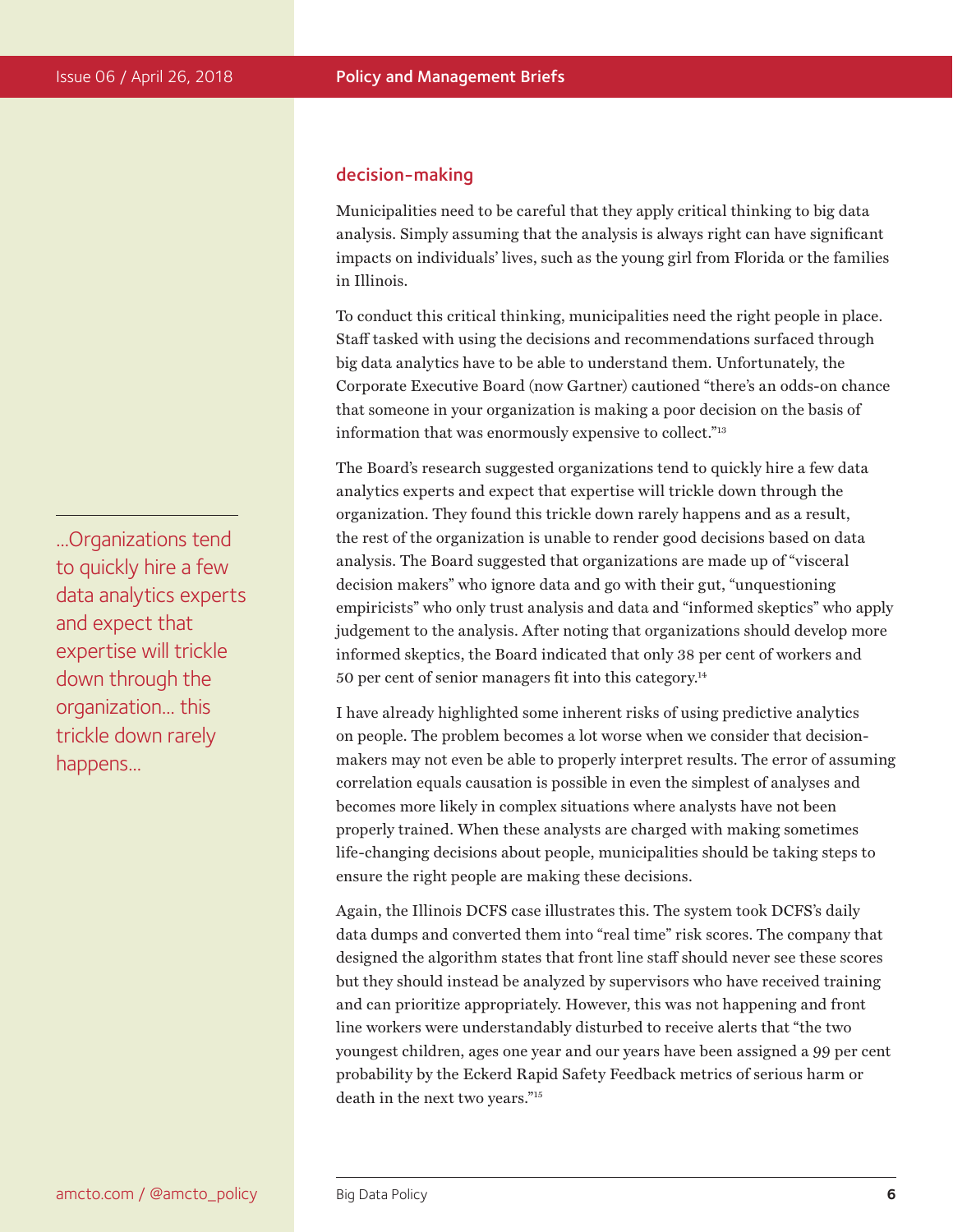#### decision-making

Municipalities need to be careful that they apply critical thinking to big data analysis. Simply assuming that the analysis is always right can have significant impacts on individuals' lives, such as the young girl from Florida or the families in Illinois.

To conduct this critical thinking, municipalities need the right people in place. Staff tasked with using the decisions and recommendations surfaced through big data analytics have to be able to understand them. Unfortunately, the Corporate Executive Board (now Gartner) cautioned "there's an odds-on chance that someone in your organization is making a poor decision on the basis of information that was enormously expensive to collect."13

The Board's research suggested organizations tend to quickly hire a few data analytics experts and expect that expertise will trickle down through the organization. They found this trickle down rarely happens and as a result, the rest of the organization is unable to render good decisions based on data analysis. The Board suggested that organizations are made up of "visceral decision makers" who ignore data and go with their gut, "unquestioning empiricists" who only trust analysis and data and "informed skeptics" who apply judgement to the analysis. After noting that organizations should develop more informed skeptics, the Board indicated that only 38 per cent of workers and 50 per cent of senior managers fit into this category.14

I have already highlighted some inherent risks of using predictive analytics on people. The problem becomes a lot worse when we consider that decisionmakers may not even be able to properly interpret results. The error of assuming correlation equals causation is possible in even the simplest of analyses and becomes more likely in complex situations where analysts have not been properly trained. When these analysts are charged with making sometimes life-changing decisions about people, municipalities should be taking steps to ensure the right people are making these decisions.

Again, the Illinois DCFS case illustrates this. The system took DCFS's daily data dumps and converted them into "real time" risk scores. The company that designed the algorithm states that front line staff should never see these scores but they should instead be analyzed by supervisors who have received training and can prioritize appropriately. However, this was not happening and front line workers were understandably disturbed to receive alerts that "the two youngest children, ages one year and our years have been assigned a 99 per cent probability by the Eckerd Rapid Safety Feedback metrics of serious harm or death in the next two years."15

...Organizations tend to quickly hire a few data analytics experts and expect that expertise will trickle down through the organization... this trickle down rarely happens...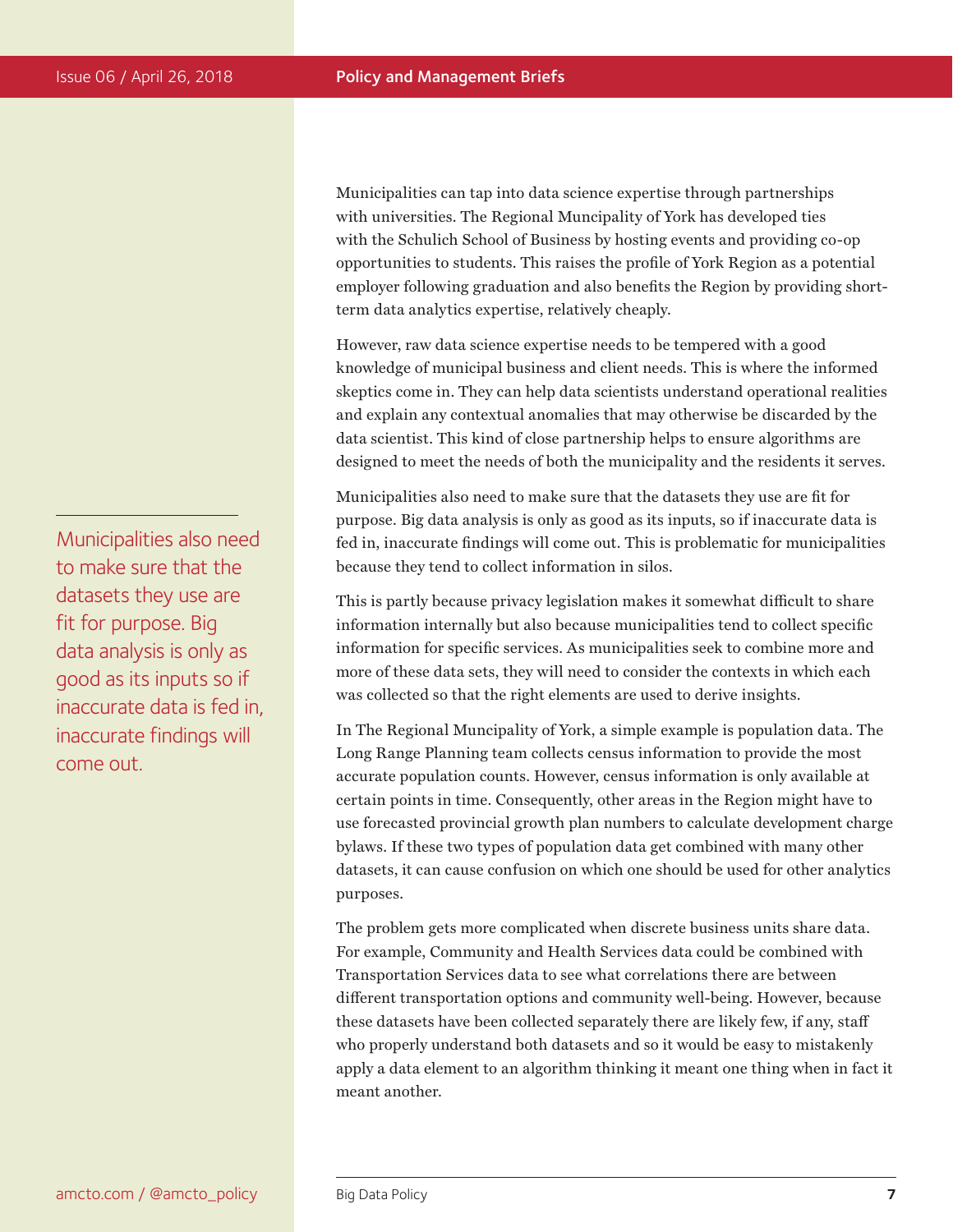Municipalities can tap into data science expertise through partnerships with universities. The Regional Muncipality of York has developed ties with the Schulich School of Business by hosting events and providing co-op opportunities to students. This raises the profile of York Region as a potential employer following graduation and also benefits the Region by providing shortterm data analytics expertise, relatively cheaply.

However, raw data science expertise needs to be tempered with a good knowledge of municipal business and client needs. This is where the informed skeptics come in. They can help data scientists understand operational realities and explain any contextual anomalies that may otherwise be discarded by the data scientist. This kind of close partnership helps to ensure algorithms are designed to meet the needs of both the municipality and the residents it serves.

Municipalities also need to make sure that the datasets they use are fit for purpose. Big data analysis is only as good as its inputs, so if inaccurate data is fed in, inaccurate findings will come out. This is problematic for municipalities because they tend to collect information in silos.

This is partly because privacy legislation makes it somewhat difficult to share information internally but also because municipalities tend to collect specific information for specific services. As municipalities seek to combine more and more of these data sets, they will need to consider the contexts in which each was collected so that the right elements are used to derive insights.

In The Regional Muncipality of York, a simple example is population data. The Long Range Planning team collects census information to provide the most accurate population counts. However, census information is only available at certain points in time. Consequently, other areas in the Region might have to use forecasted provincial growth plan numbers to calculate development charge bylaws. If these two types of population data get combined with many other datasets, it can cause confusion on which one should be used for other analytics purposes.

The problem gets more complicated when discrete business units share data. For example, Community and Health Services data could be combined with Transportation Services data to see what correlations there are between different transportation options and community well-being. However, because these datasets have been collected separately there are likely few, if any, staff who properly understand both datasets and so it would be easy to mistakenly apply a data element to an algorithm thinking it meant one thing when in fact it meant another.

Municipalities also need to make sure that the datasets they use are fit for purpose. Big data analysis is only as good as its inputs so if inaccurate data is fed in, inaccurate findings will come out.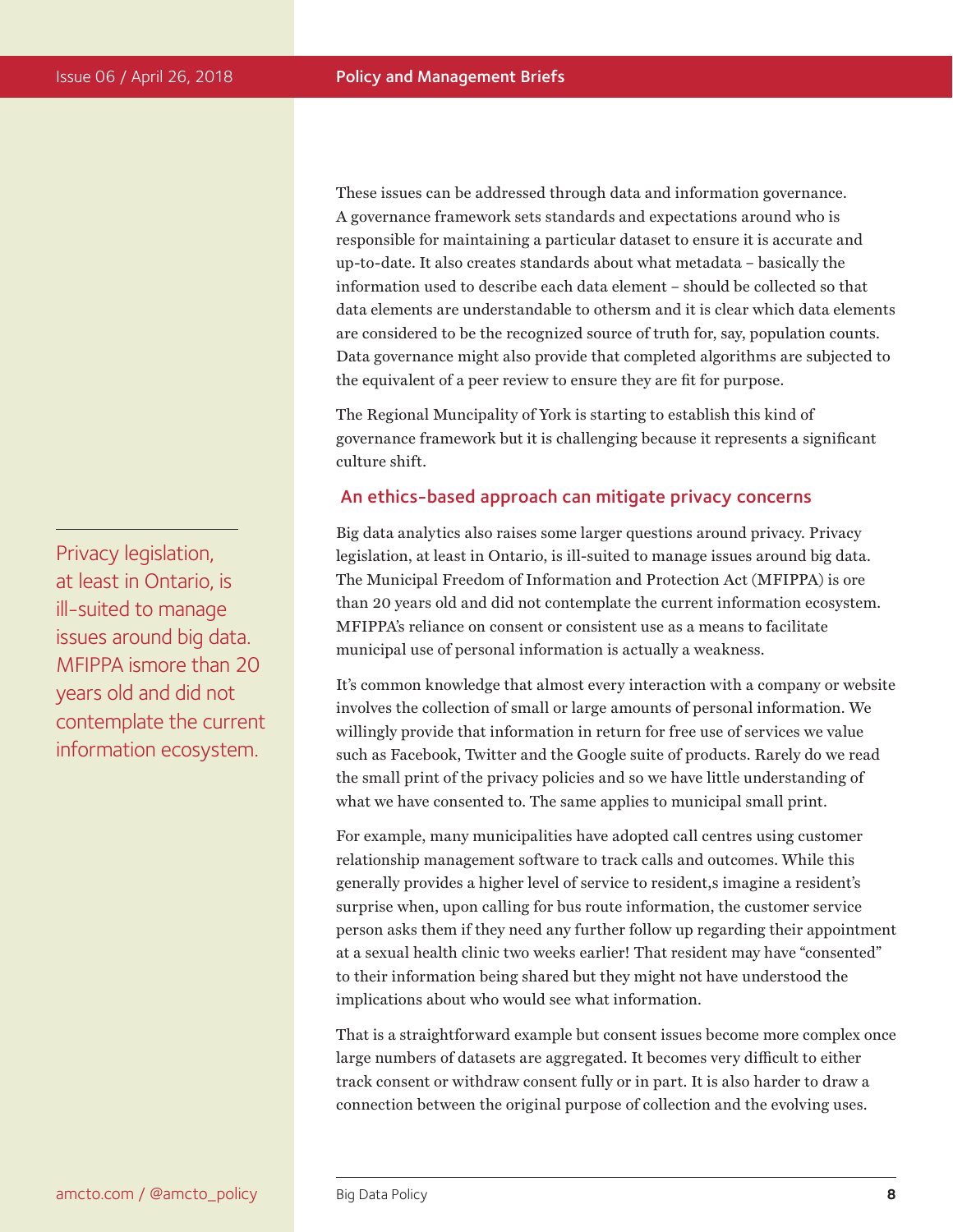These issues can be addressed through data and information governance. A governance framework sets standards and expectations around who is responsible for maintaining a particular dataset to ensure it is accurate and up-to-date. It also creates standards about what metadata – basically the information used to describe each data element – should be collected so that data elements are understandable to othersm and it is clear which data elements are considered to be the recognized source of truth for, say, population counts. Data governance might also provide that completed algorithms are subjected to the equivalent of a peer review to ensure they are fit for purpose.

The Regional Muncipality of York is starting to establish this kind of governance framework but it is challenging because it represents a significant culture shift.

## An ethics-based approach can mitigate privacy concerns

Big data analytics also raises some larger questions around privacy. Privacy legislation, at least in Ontario, is ill-suited to manage issues around big data. The Municipal Freedom of Information and Protection Act (MFIPPA) is ore than 20 years old and did not contemplate the current information ecosystem. MFIPPA's reliance on consent or consistent use as a means to facilitate municipal use of personal information is actually a weakness.

It's common knowledge that almost every interaction with a company or website involves the collection of small or large amounts of personal information. We willingly provide that information in return for free use of services we value such as Facebook, Twitter and the Google suite of products. Rarely do we read the small print of the privacy policies and so we have little understanding of what we have consented to. The same applies to municipal small print.

For example, many municipalities have adopted call centres using customer relationship management software to track calls and outcomes. While this generally provides a higher level of service to resident,s imagine a resident's surprise when, upon calling for bus route information, the customer service person asks them if they need any further follow up regarding their appointment at a sexual health clinic two weeks earlier! That resident may have "consented" to their information being shared but they might not have understood the implications about who would see what information.

That is a straightforward example but consent issues become more complex once large numbers of datasets are aggregated. It becomes very difficult to either track consent or withdraw consent fully or in part. It is also harder to draw a connection between the original purpose of collection and the evolving uses.

Privacy legislation, at least in Ontario, is ill-suited to manage issues around big data. MFIPPA ismore than 20 years old and did not contemplate the current information ecosystem.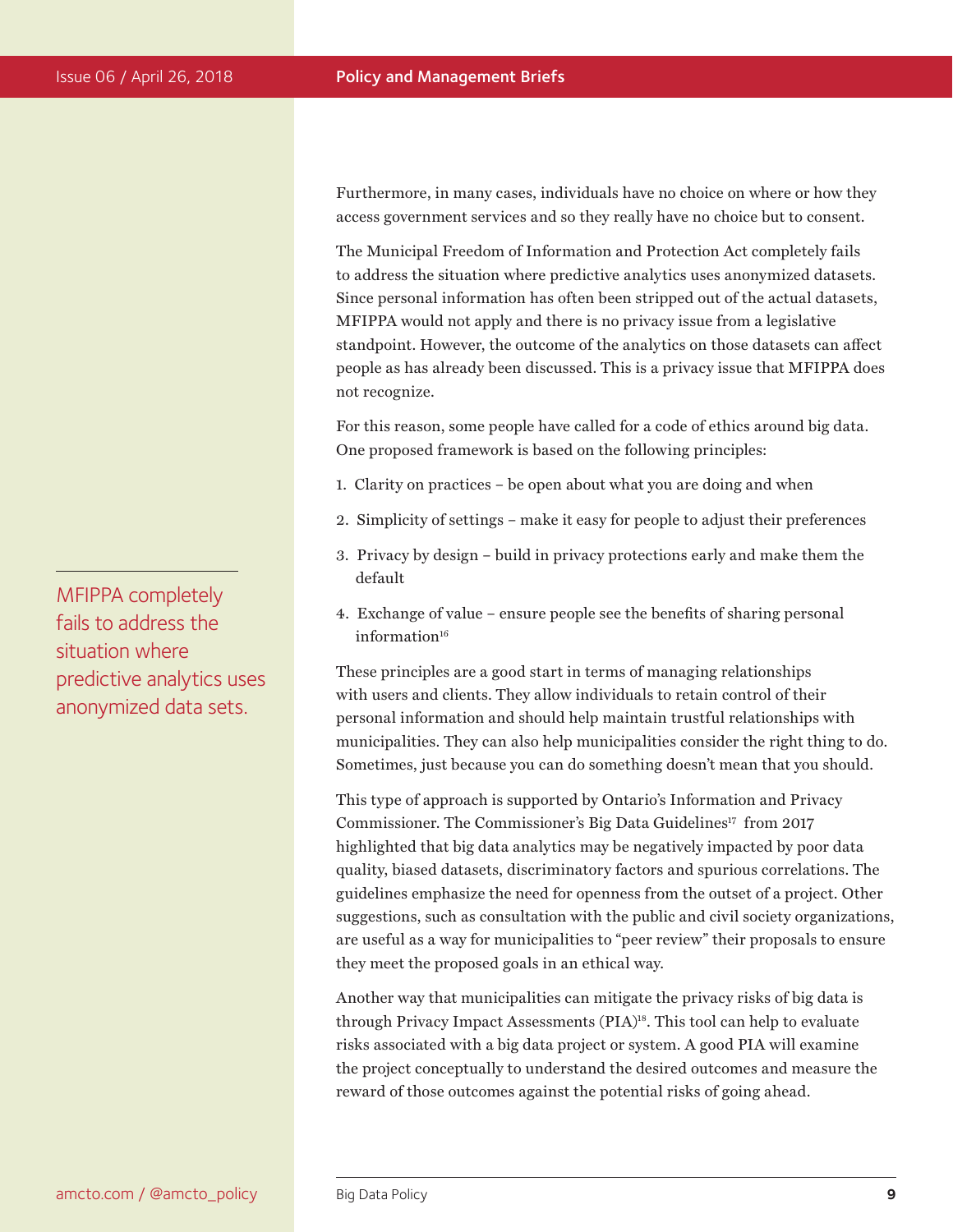Furthermore, in many cases, individuals have no choice on where or how they access government services and so they really have no choice but to consent.

The Municipal Freedom of Information and Protection Act completely fails to address the situation where predictive analytics uses anonymized datasets. Since personal information has often been stripped out of the actual datasets, MFIPPA would not apply and there is no privacy issue from a legislative standpoint. However, the outcome of the analytics on those datasets can affect people as has already been discussed. This is a privacy issue that MFIPPA does not recognize.

For this reason, some people have called for a code of ethics around big data. One proposed framework is based on the following principles:

- 1. Clarity on practices be open about what you are doing and when
- 2. Simplicity of settings make it easy for people to adjust their preferences
- 3. Privacy by design build in privacy protections early and make them the default
- 4. Exchange of value ensure people see the benefits of sharing personal information $16$

These principles are a good start in terms of managing relationships with users and clients. They allow individuals to retain control of their personal information and should help maintain trustful relationships with municipalities. They can also help municipalities consider the right thing to do. Sometimes, just because you can do something doesn't mean that you should.

This type of approach is supported by Ontario's Information and Privacy Commissioner. The Commissioner's Big Data Guidelines<sup>17</sup> from 2017 highlighted that big data analytics may be negatively impacted by poor data quality, biased datasets, discriminatory factors and spurious correlations. The guidelines emphasize the need for openness from the outset of a project. Other suggestions, such as consultation with the public and civil society organizations, are useful as a way for municipalities to "peer review" their proposals to ensure they meet the proposed goals in an ethical way.

Another way that municipalities can mitigate the privacy risks of big data is through Privacy Impact Assessments (PIA)<sup>18</sup>. This tool can help to evaluate risks associated with a big data project or system. A good PIA will examine the project conceptually to understand the desired outcomes and measure the reward of those outcomes against the potential risks of going ahead.

MFIPPA completely fails to address the situation where predictive analytics uses anonymized data sets.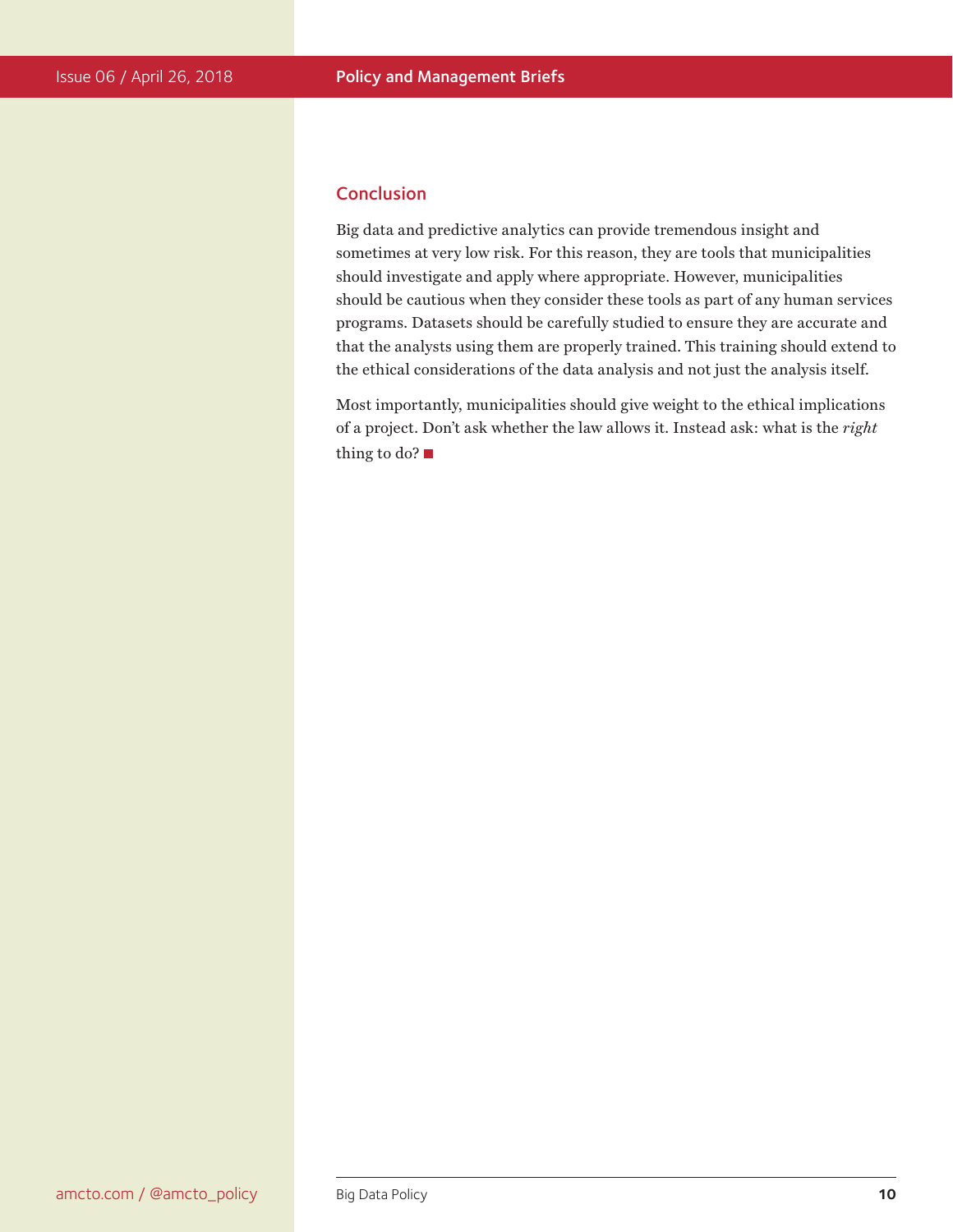### Conclusion

Big data and predictive analytics can provide tremendous insight and sometimes at very low risk. For this reason, they are tools that municipalities should investigate and apply where appropriate. However, municipalities should be cautious when they consider these tools as part of any human services programs. Datasets should be carefully studied to ensure they are accurate and that the analysts using them are properly trained. This training should extend to the ethical considerations of the data analysis and not just the analysis itself.

Most importantly, municipalities should give weight to the ethical implications of a project. Don't ask whether the law allows it. Instead ask: what is the *right* thing to do? ■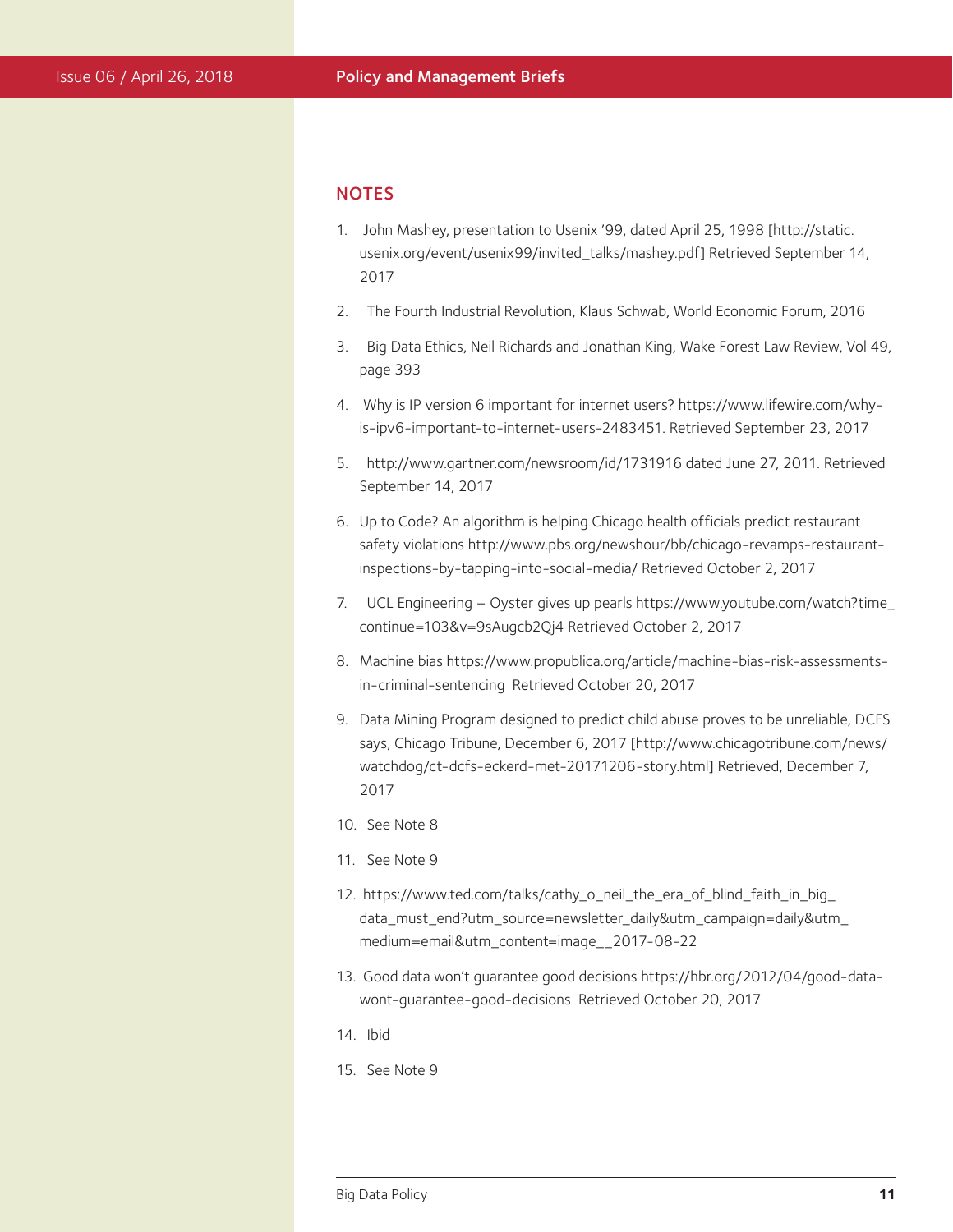#### NOTES

- 1. John Mashey, presentation to Usenix '99, dated April 25, 1998 [http://static. usenix.org/event/usenix99/invited\_talks/mashey.pdf] Retrieved September 14, 2017
- 2. The Fourth Industrial Revolution, Klaus Schwab, World Economic Forum, 2016
- 3. Big Data Ethics, Neil Richards and Jonathan King, Wake Forest Law Review, Vol 49, page 393
- 4. Why is IP version 6 important for internet users? https://www.lifewire.com/whyis-ipv6-important-to-internet-users-2483451. Retrieved September 23, 2017
- 5. http://www.gartner.com/newsroom/id/1731916 dated June 27, 2011. Retrieved September 14, 2017
- 6. Up to Code? An algorithm is helping Chicago health officials predict restaurant safety violations http://www.pbs.org/newshour/bb/chicago-revamps-restaurantinspections-by-tapping-into-social-media/ Retrieved October 2, 2017
- 7. UCL Engineering Oyster gives up pearls https://www.youtube.com/watch?time\_ continue=103&v=9sAugcb2Qj4 Retrieved October 2, 2017
- 8. Machine bias https://www.propublica.org/article/machine-bias-risk-assessmentsin-criminal-sentencing Retrieved October 20, 2017
- 9. Data Mining Program designed to predict child abuse proves to be unreliable, DCFS says, Chicago Tribune, December 6, 2017 [http://www.chicagotribune.com/news/ watchdog/ct-dcfs-eckerd-met-20171206-story.html] Retrieved, December 7, 2017
- 10. See Note 8
- 11. See Note 9
- 12. https://www.ted.com/talks/cathy\_o\_neil\_the\_era\_of\_blind\_faith\_in\_big\_ data\_must\_end?utm\_source=newsletter\_daily&utm\_campaign=daily&utm\_ medium=email&utm\_content=image\_\_2017-08-22
- 13. Good data won't guarantee good decisions https://hbr.org/2012/04/good-datawont-guarantee-good-decisions Retrieved October 20, 2017
- 14. Ibid
- 15. See Note 9